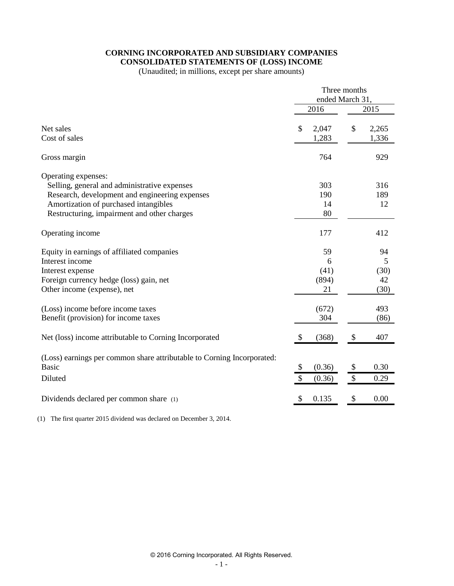#### **CORNING INCORPORATED AND SUBSIDIARY COMPANIES CONSOLIDATED STATEMENTS OF (LOSS) INCOME**

(Unaudited; in millions, except per share amounts)

|                                                                                        | Three months         |                      |
|----------------------------------------------------------------------------------------|----------------------|----------------------|
|                                                                                        | ended March 31,      |                      |
|                                                                                        | 2016                 | 2015                 |
| Net sales<br>Cost of sales                                                             | \$<br>2,047<br>1,283 | \$<br>2,265<br>1,336 |
| Gross margin                                                                           | 764                  | 929                  |
| Operating expenses:                                                                    |                      |                      |
| Selling, general and administrative expenses                                           | 303                  | 316                  |
| Research, development and engineering expenses                                         | 190                  | 189                  |
| Amortization of purchased intangibles                                                  | 14                   | 12                   |
| Restructuring, impairment and other charges                                            | 80                   |                      |
| Operating income                                                                       | 177                  | 412                  |
| Equity in earnings of affiliated companies                                             | 59                   | 94                   |
| Interest income                                                                        | 6                    | 5                    |
| Interest expense                                                                       | (41)                 | (30)                 |
| Foreign currency hedge (loss) gain, net                                                | (894)                | 42                   |
| Other income (expense), net                                                            | 21                   | (30)                 |
| (Loss) income before income taxes                                                      | (672)                | 493                  |
| Benefit (provision) for income taxes                                                   | 304                  | (86)                 |
| Net (loss) income attributable to Corning Incorporated                                 | \$<br>(368)          | \$<br>407            |
| (Loss) earnings per common share attributable to Corning Incorporated:<br><b>Basic</b> |                      | 0.30                 |
|                                                                                        | \$<br>(0.36)         | \$                   |
| Diluted                                                                                | \$<br>(0.36)         | \$<br>0.29           |
| Dividends declared per common share (1)                                                | \$<br>0.135          | \$<br>0.00           |

(1) The first quarter 2015 dividend was declared on December 3, 2014.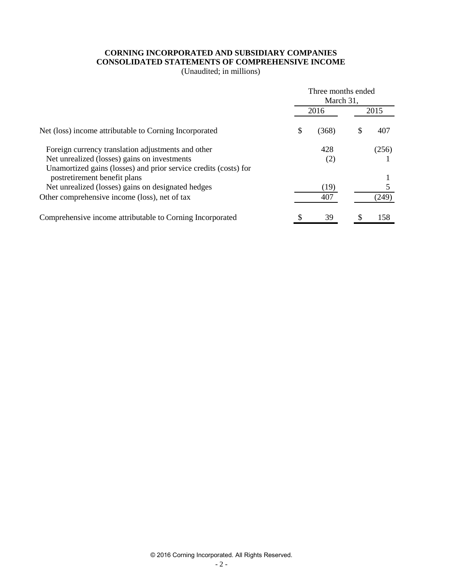# **CORNING INCORPORATED AND SUBSIDIARY COMPANIES CONSOLIDATED STATEMENTS OF COMPREHENSIVE INCOME**

(Unaudited; in millions)

|                                                                  |      | Three months ended<br>March 31, |      |       |  |  |
|------------------------------------------------------------------|------|---------------------------------|------|-------|--|--|
|                                                                  | 2016 |                                 | 2015 |       |  |  |
| Net (loss) income attributable to Corning Incorporated           | \$   | (368)                           | \$.  | 407   |  |  |
| Foreign currency translation adjustments and other               |      | 428                             |      | (256) |  |  |
| Net unrealized (losses) gains on investments                     |      | (2)                             |      |       |  |  |
| Unamortized gains (losses) and prior service credits (costs) for |      |                                 |      |       |  |  |
| postretirement benefit plans                                     |      |                                 |      |       |  |  |
| Net unrealized (losses) gains on designated hedges               |      | (19)                            |      |       |  |  |
| Other comprehensive income (loss), net of tax                    |      | 407                             |      | (249) |  |  |
| Comprehensive income attributable to Corning Incorporated        |      | 39                              | S    | 158   |  |  |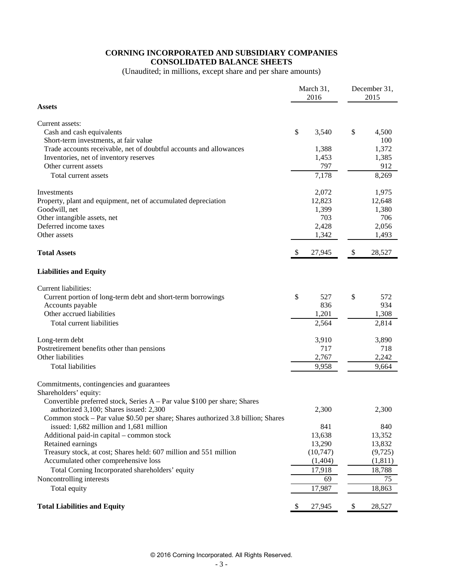# **CORNING INCORPORATED AND SUBSIDIARY COMPANIES CONSOLIDATED BALANCE SHEETS**

(Unaudited; in millions, except share and per share amounts)

|                                                                                  |    | March 31,<br>2016 |                           | December 31,<br>2015 |  |  |
|----------------------------------------------------------------------------------|----|-------------------|---------------------------|----------------------|--|--|
| <b>Assets</b>                                                                    |    |                   |                           |                      |  |  |
| Current assets:                                                                  |    |                   |                           |                      |  |  |
| Cash and cash equivalents                                                        | \$ | 3,540             | \$                        | 4,500                |  |  |
| Short-term investments, at fair value                                            |    |                   |                           | 100                  |  |  |
| Trade accounts receivable, net of doubtful accounts and allowances               |    | 1,388             |                           | 1,372                |  |  |
| Inventories, net of inventory reserves                                           |    | 1,453             |                           | 1,385                |  |  |
| Other current assets                                                             |    | 797               |                           | 912                  |  |  |
| Total current assets                                                             |    | 7,178             |                           | 8,269                |  |  |
| Investments                                                                      |    | 2,072             |                           | 1,975                |  |  |
| Property, plant and equipment, net of accumulated depreciation                   |    | 12,823            |                           | 12,648               |  |  |
| Goodwill, net                                                                    |    | 1,399             |                           | 1,380                |  |  |
| Other intangible assets, net                                                     |    | 703               |                           | 706                  |  |  |
| Deferred income taxes                                                            |    | 2,428             |                           | 2,056                |  |  |
| Other assets                                                                     |    | 1,342             |                           | 1,493                |  |  |
| <b>Total Assets</b>                                                              | S, | 27,945            | $\boldsymbol{\mathsf{S}}$ | 28,527               |  |  |
| <b>Liabilities and Equity</b>                                                    |    |                   |                           |                      |  |  |
| Current liabilities:                                                             |    |                   |                           |                      |  |  |
| Current portion of long-term debt and short-term borrowings                      | \$ | 527               | \$                        | 572                  |  |  |
| Accounts payable                                                                 |    | 836               |                           | 934                  |  |  |
| Other accrued liabilities                                                        |    | 1,201             |                           | 1,308                |  |  |
| Total current liabilities                                                        |    | 2,564             |                           | 2,814                |  |  |
| Long-term debt                                                                   |    | 3,910             |                           | 3,890                |  |  |
| Postretirement benefits other than pensions                                      |    | 717               |                           | 718                  |  |  |
| Other liabilities                                                                |    | 2,767             |                           | 2,242                |  |  |
| <b>Total liabilities</b>                                                         |    | 9,958             |                           | 9,664                |  |  |
| Commitments, contingencies and guarantees                                        |    |                   |                           |                      |  |  |
| Shareholders' equity:                                                            |    |                   |                           |                      |  |  |
| Convertible preferred stock, Series A - Par value \$100 per share; Shares        |    |                   |                           |                      |  |  |
| authorized 3,100; Shares issued: 2,300                                           |    | 2,300             |                           | 2,300                |  |  |
| Common stock – Par value \$0.50 per share; Shares authorized 3.8 billion; Shares |    |                   |                           |                      |  |  |
| issued: 1,682 million and 1,681 million                                          |    | 841               |                           | 840                  |  |  |
| Additional paid-in capital – common stock                                        |    | 13,638            |                           | 13,352               |  |  |
| Retained earnings                                                                |    | 13,290            |                           | 13,832               |  |  |
| Treasury stock, at cost; Shares held: 607 million and 551 million                |    | (10,747)          |                           | (9, 725)             |  |  |
| Accumulated other comprehensive loss                                             |    | (1,404)           |                           | (1, 811)             |  |  |
| Total Corning Incorporated shareholders' equity                                  |    | 17,918            |                           | 18,788               |  |  |
| Noncontrolling interests                                                         |    | 69                |                           | 75                   |  |  |
| Total equity                                                                     |    | 17,987            |                           | 18,863               |  |  |
| <b>Total Liabilities and Equity</b>                                              | \$ | 27,945            | \$                        | 28,527               |  |  |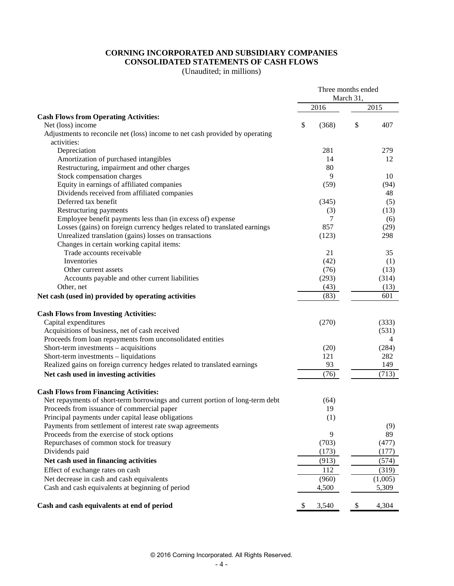# **CORNING INCORPORATED AND SUBSIDIARY COMPANIES CONSOLIDATED STATEMENTS OF CASH FLOWS**

(Unaudited; in millions)

|                                                                                                   | Three months ended |           |           |
|---------------------------------------------------------------------------------------------------|--------------------|-----------|-----------|
|                                                                                                   |                    | March 31, |           |
|                                                                                                   | 2016               |           | 2015      |
| <b>Cash Flows from Operating Activities:</b>                                                      |                    |           |           |
| Net (loss) income<br>Adjustments to reconcile net (loss) income to net cash provided by operating | \$<br>(368)        | \$        | 407       |
| activities:                                                                                       |                    |           |           |
| Depreciation                                                                                      | 281                |           | 279       |
| Amortization of purchased intangibles                                                             | 14                 |           | 12        |
| Restructuring, impairment and other charges                                                       | 80                 |           |           |
| Stock compensation charges                                                                        | 9                  |           | 10        |
| Equity in earnings of affiliated companies                                                        | (59)               |           | (94)      |
| Dividends received from affiliated companies                                                      |                    |           | 48        |
| Deferred tax benefit                                                                              | (345)              |           | (5)       |
| Restructuring payments                                                                            | (3)                |           | (13)      |
| Employee benefit payments less than (in excess of) expense                                        | 7                  |           | (6)       |
| Losses (gains) on foreign currency hedges related to translated earnings                          | 857                |           | (29)      |
| Unrealized translation (gains) losses on transactions                                             | (123)              |           | 298       |
| Changes in certain working capital items:                                                         |                    |           |           |
| Trade accounts receivable                                                                         | 21                 |           | 35        |
| Inventories                                                                                       | (42)               |           | (1)       |
| Other current assets                                                                              | (76)               |           | (13)      |
| Accounts payable and other current liabilities                                                    | (293)              |           | (314)     |
| Other, net                                                                                        | (43)               |           | (13)      |
| Net cash (used in) provided by operating activities                                               | (83)               |           | 601       |
| <b>Cash Flows from Investing Activities:</b>                                                      |                    |           |           |
| Capital expenditures                                                                              | (270)              |           | (333)     |
| Acquisitions of business, net of cash received                                                    |                    |           | (531)     |
| Proceeds from loan repayments from unconsolidated entities                                        |                    |           | 4         |
| Short-term investments - acquisitions                                                             | (20)               |           | (284)     |
| Short-term investments - liquidations                                                             | 121                |           | 282       |
| Realized gains on foreign currency hedges related to translated earnings                          | 93                 |           | 149       |
| Net cash used in investing activities                                                             | (76)               |           | (713)     |
| <b>Cash Flows from Financing Activities:</b>                                                      |                    |           |           |
| Net repayments of short-term borrowings and current portion of long-term debt                     | (64)               |           |           |
| Proceeds from issuance of commercial paper                                                        | 19                 |           |           |
| Principal payments under capital lease obligations                                                | (1)                |           |           |
| Payments from settlement of interest rate swap agreements                                         | 9                  |           | (9)<br>89 |
| Proceeds from the exercise of stock options<br>Repurchases of common stock for treasury           | (703)              |           | (477)     |
| Dividends paid                                                                                    | (173)              |           | (177)     |
| Net cash used in financing activities                                                             | (913)              |           | (574)     |
| Effect of exchange rates on cash                                                                  | 112                |           | (319)     |
| Net decrease in cash and cash equivalents                                                         | (960)              |           | (1,005)   |
| Cash and cash equivalents at beginning of period                                                  | 4,500              |           | 5,309     |
| Cash and cash equivalents at end of period                                                        | \$<br>3,540        | \$        | 4,304     |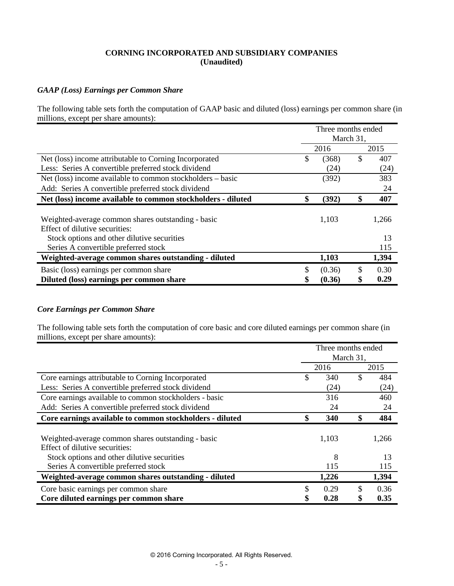## **CORNING INCORPORATED AND SUBSIDIARY COMPANIES (Unaudited)**

#### *GAAP (Loss) Earnings per Common Share*

The following table sets forth the computation of GAAP basic and diluted (loss) earnings per common share (in millions, except per share amounts):

|                                                              | Three months ended<br>March 31, |    |       |  |  |
|--------------------------------------------------------------|---------------------------------|----|-------|--|--|
|                                                              | 2016                            |    | 2015  |  |  |
| Net (loss) income attributable to Corning Incorporated       | \$<br>(368)                     | \$ | 407   |  |  |
| Less: Series A convertible preferred stock dividend          | (24)                            |    | (24)  |  |  |
| Net (loss) income available to common stockholders – basic   | (392)                           |    | 383   |  |  |
| Add: Series A convertible preferred stock dividend           |                                 |    | 24    |  |  |
| Net (loss) income available to common stockholders - diluted | \$<br>(392)                     | \$ | 407   |  |  |
|                                                              |                                 |    |       |  |  |
| Weighted-average common shares outstanding - basic           | 1,103                           |    | 1,266 |  |  |
| Effect of dilutive securities:                               |                                 |    |       |  |  |
| Stock options and other dilutive securities                  |                                 |    | 13    |  |  |
| Series A convertible preferred stock                         |                                 |    | 115   |  |  |
| Weighted-average common shares outstanding - diluted         | 1,103                           |    | 1,394 |  |  |
| Basic (loss) earnings per common share                       | \$<br>(0.36)                    | \$ | 0.30  |  |  |
| Diluted (loss) earnings per common share                     | \$<br>(0.36)                    |    | 0.29  |  |  |

#### *Core Earnings per Common Share*

The following table sets forth the computation of core basic and core diluted earnings per common share (in millions, except per share amounts):

|                                                          |      |       | Three months ended |       |  |  |  |
|----------------------------------------------------------|------|-------|--------------------|-------|--|--|--|
|                                                          |      |       | March 31,          |       |  |  |  |
|                                                          | 2016 |       |                    |       |  |  |  |
| Core earnings attributable to Corning Incorporated       | \$   | 340   | \$                 | 484   |  |  |  |
| Less: Series A convertible preferred stock dividend      |      | (24)  |                    | (24)  |  |  |  |
| Core earnings available to common stockholders - basic   |      | 316   |                    | 460   |  |  |  |
| Add: Series A convertible preferred stock dividend       |      | 24    |                    | 24    |  |  |  |
| Core earnings available to common stockholders - diluted | \$   | 340   | \$                 | 484   |  |  |  |
|                                                          |      |       |                    |       |  |  |  |
| Weighted-average common shares outstanding - basic       |      | 1,103 |                    | 1,266 |  |  |  |
| Effect of dilutive securities:                           |      |       |                    |       |  |  |  |
| Stock options and other dilutive securities              |      | 8     |                    | 13    |  |  |  |
| Series A convertible preferred stock                     |      | 115   |                    | 115   |  |  |  |
| Weighted-average common shares outstanding - diluted     |      | 1,226 |                    | 1,394 |  |  |  |
| Core basic earnings per common share                     | S    | 0.29  | S                  | 0.36  |  |  |  |
| Core diluted earnings per common share                   | \$   | 0.28  |                    | 0.35  |  |  |  |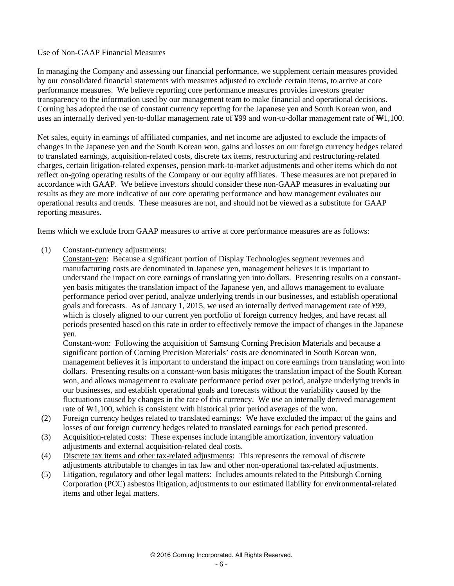#### Use of Non-GAAP Financial Measures

In managing the Company and assessing our financial performance, we supplement certain measures provided by our consolidated financial statements with measures adjusted to exclude certain items, to arrive at core performance measures. We believe reporting core performance measures provides investors greater transparency to the information used by our management team to make financial and operational decisions. Corning has adopted the use of constant currency reporting for the Japanese yen and South Korean won, and uses an internally derived yen-to-dollar management rate of ¥99 and won-to-dollar management rate of ₩1,100.

Net sales, equity in earnings of affiliated companies, and net income are adjusted to exclude the impacts of changes in the Japanese yen and the South Korean won, gains and losses on our foreign currency hedges related to translated earnings, acquisition-related costs, discrete tax items, restructuring and restructuring-related charges, certain litigation-related expenses, pension mark-to-market adjustments and other items which do not reflect on-going operating results of the Company or our equity affiliates. These measures are not prepared in accordance with GAAP. We believe investors should consider these non-GAAP measures in evaluating our results as they are more indicative of our core operating performance and how management evaluates our operational results and trends. These measures are not, and should not be viewed as a substitute for GAAP reporting measures.

Items which we exclude from GAAP measures to arrive at core performance measures are as follows:

(1) Constant-currency adjustments:

Constant-yen: Because a significant portion of Display Technologies segment revenues and manufacturing costs are denominated in Japanese yen, management believes it is important to understand the impact on core earnings of translating yen into dollars. Presenting results on a constantyen basis mitigates the translation impact of the Japanese yen, and allows management to evaluate performance period over period, analyze underlying trends in our businesses, and establish operational goals and forecasts. As of January 1, 2015, we used an internally derived management rate of ¥99, which is closely aligned to our current yen portfolio of foreign currency hedges, and have recast all periods presented based on this rate in order to effectively remove the impact of changes in the Japanese yen.

Constant-won: Following the acquisition of Samsung Corning Precision Materials and because a significant portion of Corning Precision Materials' costs are denominated in South Korean won, management believes it is important to understand the impact on core earnings from translating won into dollars. Presenting results on a constant-won basis mitigates the translation impact of the South Korean won, and allows management to evaluate performance period over period, analyze underlying trends in our businesses, and establish operational goals and forecasts without the variability caused by the fluctuations caused by changes in the rate of this currency. We use an internally derived management rate of ₩1,100, which is consistent with historical prior period averages of the won.

- (2) Foreign currency hedges related to translated earnings: We have excluded the impact of the gains and losses of our foreign currency hedges related to translated earnings for each period presented.
- (3) Acquisition-related costs: These expenses include intangible amortization, inventory valuation adjustments and external acquisition-related deal costs.
- (4) Discrete tax items and other tax-related adjustments: This represents the removal of discrete adjustments attributable to changes in tax law and other non-operational tax-related adjustments.
- (5) Litigation, regulatory and other legal matters: Includes amounts related to the Pittsburgh Corning Corporation (PCC) asbestos litigation, adjustments to our estimated liability for environmental-related items and other legal matters.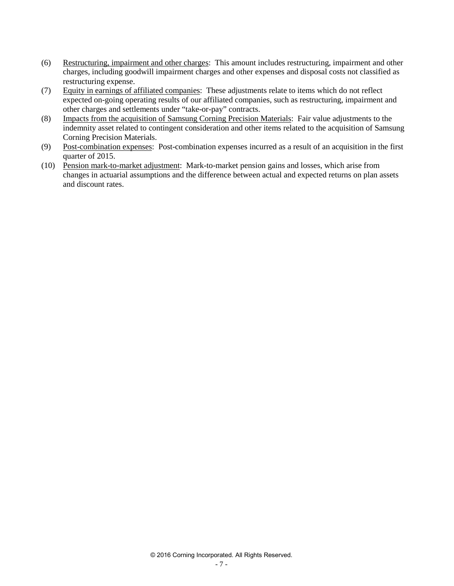- (6) Restructuring, impairment and other charges: This amount includes restructuring, impairment and other charges, including goodwill impairment charges and other expenses and disposal costs not classified as restructuring expense.
- (7) Equity in earnings of affiliated companies: These adjustments relate to items which do not reflect expected on-going operating results of our affiliated companies, such as restructuring, impairment and other charges and settlements under "take-or-pay" contracts.
- (8) Impacts from the acquisition of Samsung Corning Precision Materials: Fair value adjustments to the indemnity asset related to contingent consideration and other items related to the acquisition of Samsung Corning Precision Materials.
- (9) Post-combination expenses: Post-combination expenses incurred as a result of an acquisition in the first quarter of 2015.
- (10) Pension mark-to-market adjustment: Mark-to-market pension gains and losses, which arise from changes in actuarial assumptions and the difference between actual and expected returns on plan assets and discount rates.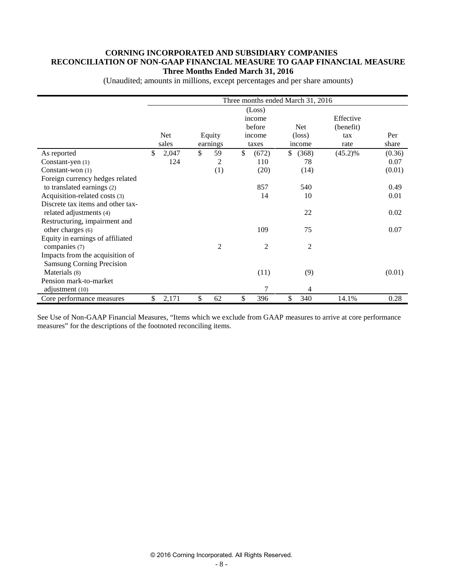#### **CORNING INCORPORATED AND SUBSIDIARY COMPANIES RECONCILIATION OF NON-GAAP FINANCIAL MEASURE TO GAAP FINANCIAL MEASURE Three Months Ended March 31, 2016**

|                                                                     |              |                    | Three months ended March 31, 2016             |                                         |                                       |              |
|---------------------------------------------------------------------|--------------|--------------------|-----------------------------------------------|-----------------------------------------|---------------------------------------|--------------|
|                                                                     | Net<br>sales | Equity<br>earnings | (Loss)<br>income<br>before<br>income<br>taxes | <b>Net</b><br>$(\text{loss})$<br>income | Effective<br>(benefit)<br>tax<br>rate | Per<br>share |
| As reported                                                         | \$<br>2,047  | \$<br>59           | \$<br>(672)                                   | \$<br>(368)                             | $(45.2)\%$                            | (0.36)       |
| Constant-yen (1)                                                    | 124          | 2                  | 110                                           | 78                                      |                                       | 0.07         |
| Constant-won $(1)$                                                  |              | (1)                | (20)                                          | (14)                                    |                                       | (0.01)       |
| Foreign currency hedges related                                     |              |                    |                                               |                                         |                                       |              |
| to translated earnings (2)                                          |              |                    | 857                                           | 540                                     |                                       | 0.49         |
| Acquisition-related costs (3)                                       |              |                    | 14                                            | 10                                      |                                       | 0.01         |
| Discrete tax items and other tax-<br>related adjustments (4)        |              |                    |                                               | 22                                      |                                       | 0.02         |
| Restructuring, impairment and<br>other charges (6)                  |              |                    | 109                                           | 75                                      |                                       | 0.07         |
| Equity in earnings of affiliated<br>companies (7)                   |              | $\overline{2}$     | $\overline{2}$                                | $\overline{2}$                          |                                       |              |
| Impacts from the acquisition of<br><b>Samsung Corning Precision</b> |              |                    |                                               |                                         |                                       |              |
| Materials (8)                                                       |              |                    | (11)                                          | (9)                                     |                                       | (0.01)       |
| Pension mark-to-market<br>adjustment (10)                           |              |                    | 7                                             | 4                                       |                                       |              |
| Core performance measures                                           | \$<br>2,171  | \$<br>62           | \$<br>396                                     | \$<br>340                               | 14.1%                                 | 0.28         |

(Unaudited; amounts in millions, except percentages and per share amounts)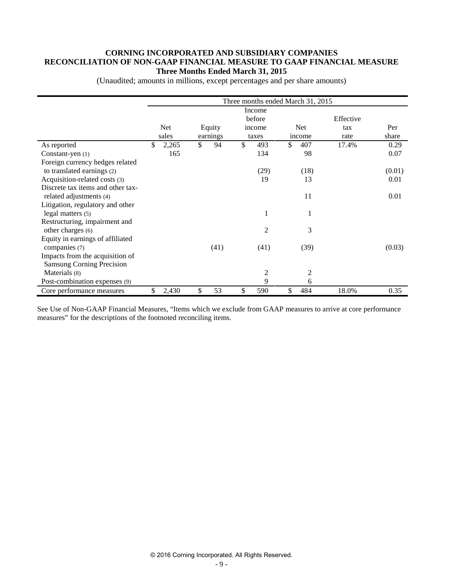#### **CORNING INCORPORATED AND SUBSIDIARY COMPANIES RECONCILIATION OF NON-GAAP FINANCIAL MEASURE TO GAAP FINANCIAL MEASURE Three Months Ended March 31, 2015**

|                                   |             |          |        |               | Three months ended March 31, 2015 |        |            |           |        |
|-----------------------------------|-------------|----------|--------|---------------|-----------------------------------|--------|------------|-----------|--------|
|                                   |             |          |        |               | Income                            |        |            |           |        |
|                                   |             |          |        |               | before                            |        |            | Effective |        |
|                                   | <b>Net</b>  |          | Equity |               | income                            |        | <b>Net</b> | tax       | Per    |
|                                   | sales       | earnings |        | taxes         |                                   | income |            | rate      | share  |
| As reported                       | \$<br>2,265 | \$       | 94     | <sup>\$</sup> | 493                               | \$     | 407        | 17.4%     | 0.29   |
| Constant-yen $(1)$                | 165         |          |        |               | 134                               |        | 98         |           | 0.07   |
| Foreign currency hedges related   |             |          |        |               |                                   |        |            |           |        |
| to translated earnings (2)        |             |          |        |               | (29)                              |        | (18)       |           | (0.01) |
| Acquisition-related costs (3)     |             |          |        |               | 19                                |        | 13         |           | 0.01   |
| Discrete tax items and other tax- |             |          |        |               |                                   |        |            |           |        |
| related adjustments (4)           |             |          |        |               |                                   |        | 11         |           | 0.01   |
| Litigation, regulatory and other  |             |          |        |               |                                   |        |            |           |        |
| legal matters (5)                 |             |          |        |               | 1                                 |        |            |           |        |
| Restructuring, impairment and     |             |          |        |               |                                   |        |            |           |        |
| other charges (6)                 |             |          |        |               | $\overline{2}$                    |        | 3          |           |        |
| Equity in earnings of affiliated  |             |          |        |               |                                   |        |            |           |        |
| companies (7)                     |             |          | (41)   |               | (41)                              |        | (39)       |           | (0.03) |
| Impacts from the acquisition of   |             |          |        |               |                                   |        |            |           |        |
| <b>Samsung Corning Precision</b>  |             |          |        |               |                                   |        |            |           |        |
| Materials (8)                     |             |          |        |               | $\overline{c}$                    |        | 2          |           |        |
| Post-combination expenses (9)     |             |          |        |               | 9                                 |        | 6          |           |        |
| Core performance measures         | \$<br>2,430 | \$       | 53     | \$            | 590                               | \$     | 484        | 18.0%     | 0.35   |

(Unaudited; amounts in millions, except percentages and per share amounts)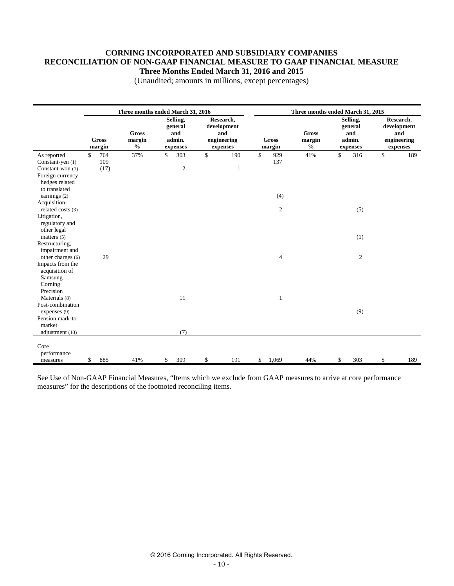### **CORNING INCORPORATED AND SUBSIDIARY COMPANIES RECONCILIATION OF NON-GAAP FINANCIAL MEASURE TO GAAP FINANCIAL MEASURE Three Months Ended March 31, 2016 and 2015**

|                                                                                                                                            |                          |                                                                                                                                                                                     | Three months ended March 31, 2016 |                           |                                         |                                                  | Three months ended March 31, 2015 |                                                            |              |     |
|--------------------------------------------------------------------------------------------------------------------------------------------|--------------------------|-------------------------------------------------------------------------------------------------------------------------------------------------------------------------------------|-----------------------------------|---------------------------|-----------------------------------------|--------------------------------------------------|-----------------------------------|------------------------------------------------------------|--------------|-----|
|                                                                                                                                            | <b>Gross</b><br>margin   | Selling,<br>Research,<br>general<br>development<br><b>Gross</b><br>and<br>and<br>admin.<br>engineering<br><b>Gross</b><br>margin<br>$\frac{0}{0}$<br>margin<br>expenses<br>expenses |                                   |                           | <b>Gross</b><br>margin<br>$\frac{0}{0}$ | Selling,<br>general<br>and<br>admin.<br>expenses |                                   | Research,<br>development<br>and<br>engineering<br>expenses |              |     |
| As reported<br>Constant-yen (1)<br>Constant-won (1)<br>Foreign currency<br>hedges related<br>to translated<br>earnings (2)<br>Acquisition- | 764<br>\$<br>109<br>(17) | 37%                                                                                                                                                                                 | 303<br>\$<br>$\sqrt{2}$           | \$<br>190<br>$\mathbf{1}$ | \$                                      | 929<br>137<br>(4)                                | 41%                               | \$<br>316                                                  | $\mathbb{S}$ | 189 |
| related costs (3)<br>Litigation,<br>regulatory and<br>other legal<br>matters $(5)$<br>Restructuring,<br>impairment and                     |                          |                                                                                                                                                                                     |                                   |                           |                                         | $\overline{c}$                                   |                                   | (5)<br>(1)                                                 |              |     |
| other charges (6)<br>Impacts from the<br>acquisition of<br>Samsung<br>Corning<br>Precision                                                 | 29                       |                                                                                                                                                                                     |                                   |                           |                                         | $\overline{4}$                                   |                                   | $\mathbf{2}$                                               |              |     |
| Materials (8)<br>Post-combination<br>expenses (9)<br>Pension mark-to-<br>market<br>adjustment (10)                                         |                          |                                                                                                                                                                                     | 11<br>(7)                         |                           |                                         | $\mathbf{1}$                                     |                                   | (9)                                                        |              |     |
| Core<br>performance<br>measures                                                                                                            | 885<br>\$                | 41%                                                                                                                                                                                 | 309<br>\$                         | \$<br>191                 | \$                                      | 1,069                                            | 44%                               | \$<br>303                                                  | \$           | 189 |

(Unaudited; amounts in millions, except percentages)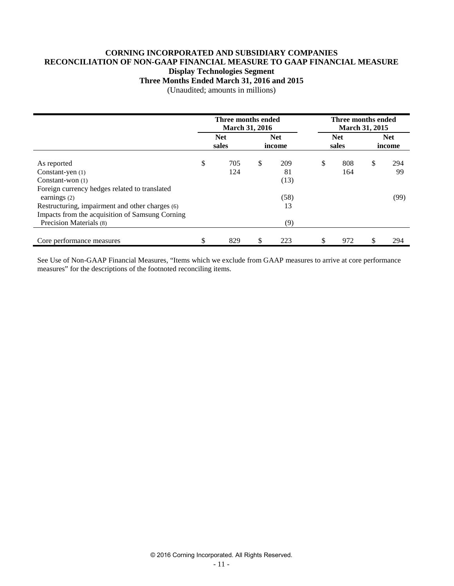### **CORNING INCORPORATED AND SUBSIDIARY COMPANIES RECONCILIATION OF NON-GAAP FINANCIAL MEASURE TO GAAP FINANCIAL MEASURE Display Technologies Segment**

**Three Months Ended March 31, 2016 and 2015**

(Unaudited; amounts in millions)

|                                                 | Three months ended<br><b>March 31, 2016</b> |                      |      | Three months ended<br><b>March 31, 2015</b> |     |    |                      |  |  |
|-------------------------------------------------|---------------------------------------------|----------------------|------|---------------------------------------------|-----|----|----------------------|--|--|
|                                                 | <b>Net</b><br>sales                         | <b>Net</b><br>income |      | <b>Net</b><br>sales                         |     |    | <b>Net</b><br>income |  |  |
| As reported                                     | \$<br>705                                   | \$                   | 209  | \$                                          | 808 | \$ | 294                  |  |  |
| Constant-yen $(1)$                              | 124                                         |                      | 81   |                                             | 164 |    | 99                   |  |  |
| Constant-won $(1)$                              |                                             |                      | (13) |                                             |     |    |                      |  |  |
| Foreign currency hedges related to translated   |                                             |                      |      |                                             |     |    |                      |  |  |
| earnings $(2)$                                  |                                             |                      | (58) |                                             |     |    | (99)                 |  |  |
| Restructuring, impairment and other charges (6) |                                             |                      | 13   |                                             |     |    |                      |  |  |
| Impacts from the acquisition of Samsung Corning |                                             |                      |      |                                             |     |    |                      |  |  |
| Precision Materials (8)                         |                                             |                      | (9)  |                                             |     |    |                      |  |  |
|                                                 |                                             |                      |      |                                             |     |    |                      |  |  |
| Core performance measures                       | \$<br>829                                   | \$                   | 223  | \$                                          | 972 | S  | 294                  |  |  |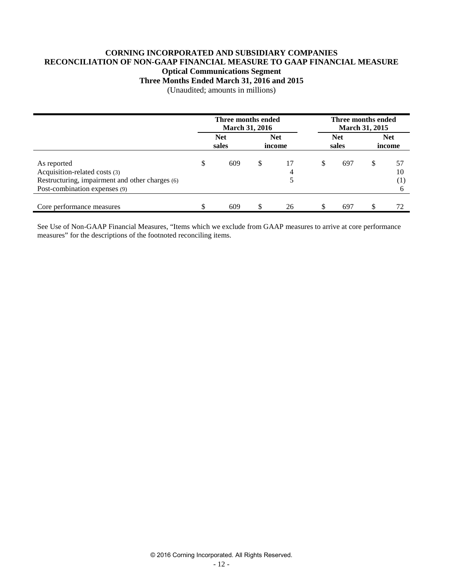# **CORNING INCORPORATED AND SUBSIDIARY COMPANIES RECONCILIATION OF NON-GAAP FINANCIAL MEASURE TO GAAP FINANCIAL MEASURE Optical Communications Segment**

**Three Months Ended March 31, 2016 and 2015**

(Unaudited; amounts in millions)

|                                                                                                                                  |                                             | Three months ended<br><b>March 31, 2016</b> |    |         |   | Three months ended<br><b>March 31, 2015</b> |                      |                 |
|----------------------------------------------------------------------------------------------------------------------------------|---------------------------------------------|---------------------------------------------|----|---------|---|---------------------------------------------|----------------------|-----------------|
|                                                                                                                                  | <b>Net</b><br><b>Net</b><br>sales<br>income |                                             |    |         |   | <b>Net</b><br>sales                         | <b>Net</b><br>income |                 |
| As reported<br>Acquisition-related costs (3)<br>Restructuring, impairment and other charges (6)<br>Post-combination expenses (9) | S                                           | 609                                         | \$ | 17<br>4 | S | 697                                         | S                    | 57<br>10<br>(1) |
| Core performance measures                                                                                                        |                                             | 609                                         |    | 26      |   | 697                                         | -S                   | 72              |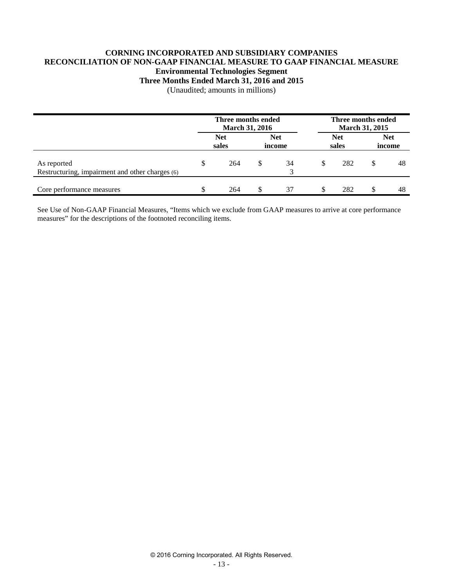### **CORNING INCORPORATED AND SUBSIDIARY COMPANIES RECONCILIATION OF NON-GAAP FINANCIAL MEASURE TO GAAP FINANCIAL MEASURE Environmental Technologies Segment Three Months Ended March 31, 2016 and 2015**

(Unaudited; amounts in millions)

|                                                                | Three months ended<br><b>March 31, 2016</b> |   |    |     | Three months ended  | March 31, 2015       |    |
|----------------------------------------------------------------|---------------------------------------------|---|----|-----|---------------------|----------------------|----|
|                                                                | <b>Net</b><br><b>Net</b><br>sales<br>income |   |    |     | <b>Net</b><br>sales | <b>Net</b><br>income |    |
| As reported<br>Restructuring, impairment and other charges (6) | 264                                         | S | 34 | \$. | 282                 |                      | 48 |
| Core performance measures                                      | 264                                         |   | 37 |     | 282                 |                      | 48 |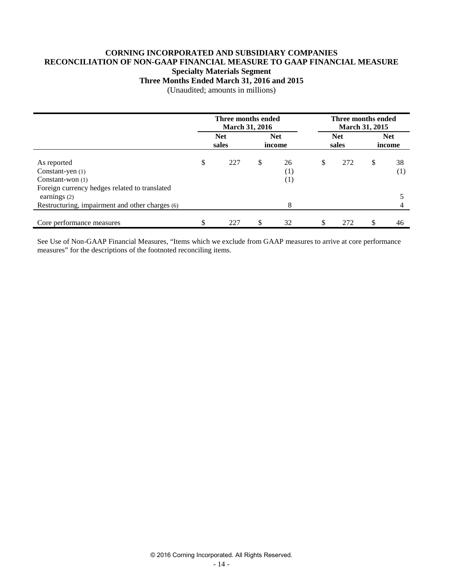# **CORNING INCORPORATED AND SUBSIDIARY COMPANIES RECONCILIATION OF NON-GAAP FINANCIAL MEASURE TO GAAP FINANCIAL MEASURE Specialty Materials Segment**

**Three Months Ended March 31, 2016 and 2015**

(Unaudited; amounts in millions)

|                                                                                                        | Three months ended<br><b>March 31, 2016</b> |                     |              |                      |                     | Three months ended<br>March 31, 2015 |                      |                        |  |
|--------------------------------------------------------------------------------------------------------|---------------------------------------------|---------------------|--------------|----------------------|---------------------|--------------------------------------|----------------------|------------------------|--|
|                                                                                                        |                                             | <b>Net</b><br>sales |              | <b>Net</b><br>income | <b>Net</b><br>sales |                                      | <b>Net</b><br>income |                        |  |
| As reported<br>Constant-yen (1)<br>Constant-won $(1)$<br>Foreign currency hedges related to translated | \$                                          | 227                 | $\mathbb{S}$ | 26<br>(1)<br>(1)     | \$                  | 272                                  | \$                   | 38<br>$\left(1\right)$ |  |
| earnings $(2)$<br>Restructuring, impairment and other charges (6)                                      |                                             |                     |              | 8                    |                     |                                      |                      |                        |  |
| Core performance measures                                                                              | \$                                          | 227                 | \$.          | 32                   | \$                  | 272                                  | S                    | 46                     |  |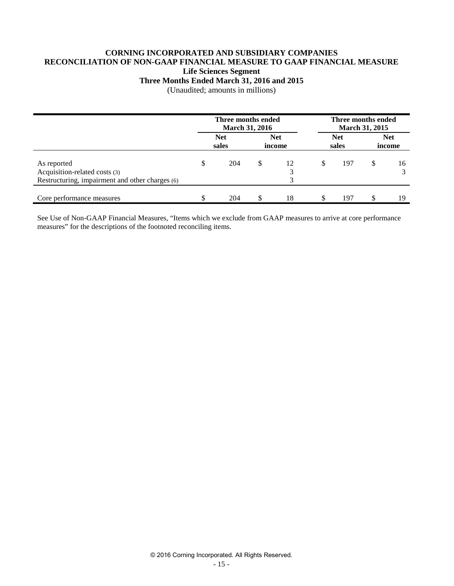### **CORNING INCORPORATED AND SUBSIDIARY COMPANIES RECONCILIATION OF NON-GAAP FINANCIAL MEASURE TO GAAP FINANCIAL MEASURE Life Sciences Segment**

### **Three Months Ended March 31, 2016 and 2015**

(Unaudited; amounts in millions)

|                                                                                                 | Three months ended<br>March 31, 2016 |                     |                      |         | Three months ended<br>March 31, 2015 |                     |                      |    |
|-------------------------------------------------------------------------------------------------|--------------------------------------|---------------------|----------------------|---------|--------------------------------------|---------------------|----------------------|----|
|                                                                                                 |                                      | <b>Net</b><br>sales | <b>Net</b><br>income |         |                                      | <b>Net</b><br>sales | <b>Net</b><br>income |    |
| As reported<br>Acquisition-related costs (3)<br>Restructuring, impairment and other charges (6) | S                                    | 204                 | S.                   | 12<br>2 | S                                    | 197                 | \$.                  | 16 |
| Core performance measures                                                                       |                                      | 204                 |                      | 18      |                                      | 197                 |                      | 19 |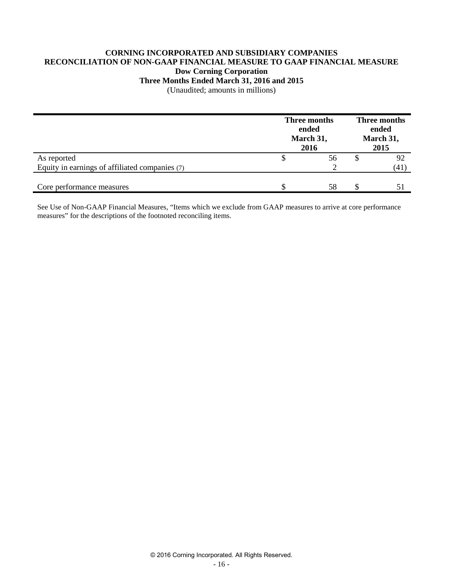### **CORNING INCORPORATED AND SUBSIDIARY COMPANIES RECONCILIATION OF NON-GAAP FINANCIAL MEASURE TO GAAP FINANCIAL MEASURE Dow Corning Corporation Three Months Ended March 31, 2016 and 2015**

(Unaudited; amounts in millions)

|                                                | Three months<br>ended<br>March 31,<br>2016 | Three months<br>ended<br>March 31,<br>2015 |  |      |
|------------------------------------------------|--------------------------------------------|--------------------------------------------|--|------|
| As reported                                    |                                            | 56                                         |  | 92   |
| Equity in earnings of affiliated companies (7) |                                            |                                            |  | (41) |
| Core performance measures                      |                                            | 58                                         |  |      |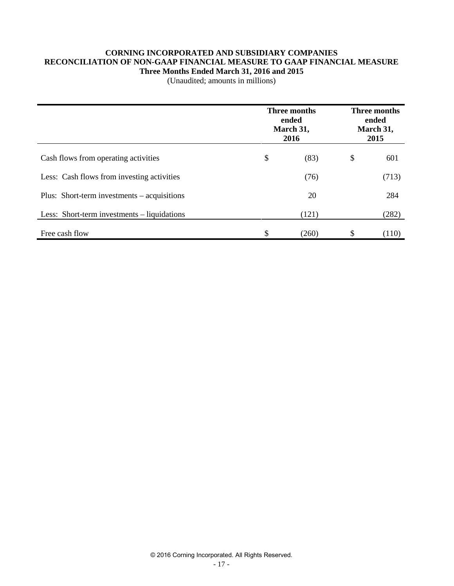### **CORNING INCORPORATED AND SUBSIDIARY COMPANIES RECONCILIATION OF NON-GAAP FINANCIAL MEASURE TO GAAP FINANCIAL MEASURE Three Months Ended March 31, 2016 and 2015**

(Unaudited; amounts in millions)

|                                             | Three months<br>ended<br>March 31,<br>2016 |    | Three months<br>ended<br>March 31,<br>2015 |  |
|---------------------------------------------|--------------------------------------------|----|--------------------------------------------|--|
| Cash flows from operating activities        | \$<br>(83)                                 | \$ | 601                                        |  |
| Less: Cash flows from investing activities  | (76)                                       |    | (713)                                      |  |
| Plus: Short-term investments – acquisitions | 20                                         |    | 284                                        |  |
| Less: Short-term investments – liquidations | (121)                                      |    | (282)                                      |  |
| Free cash flow                              | \$<br>(260)                                | \$ | (110)                                      |  |